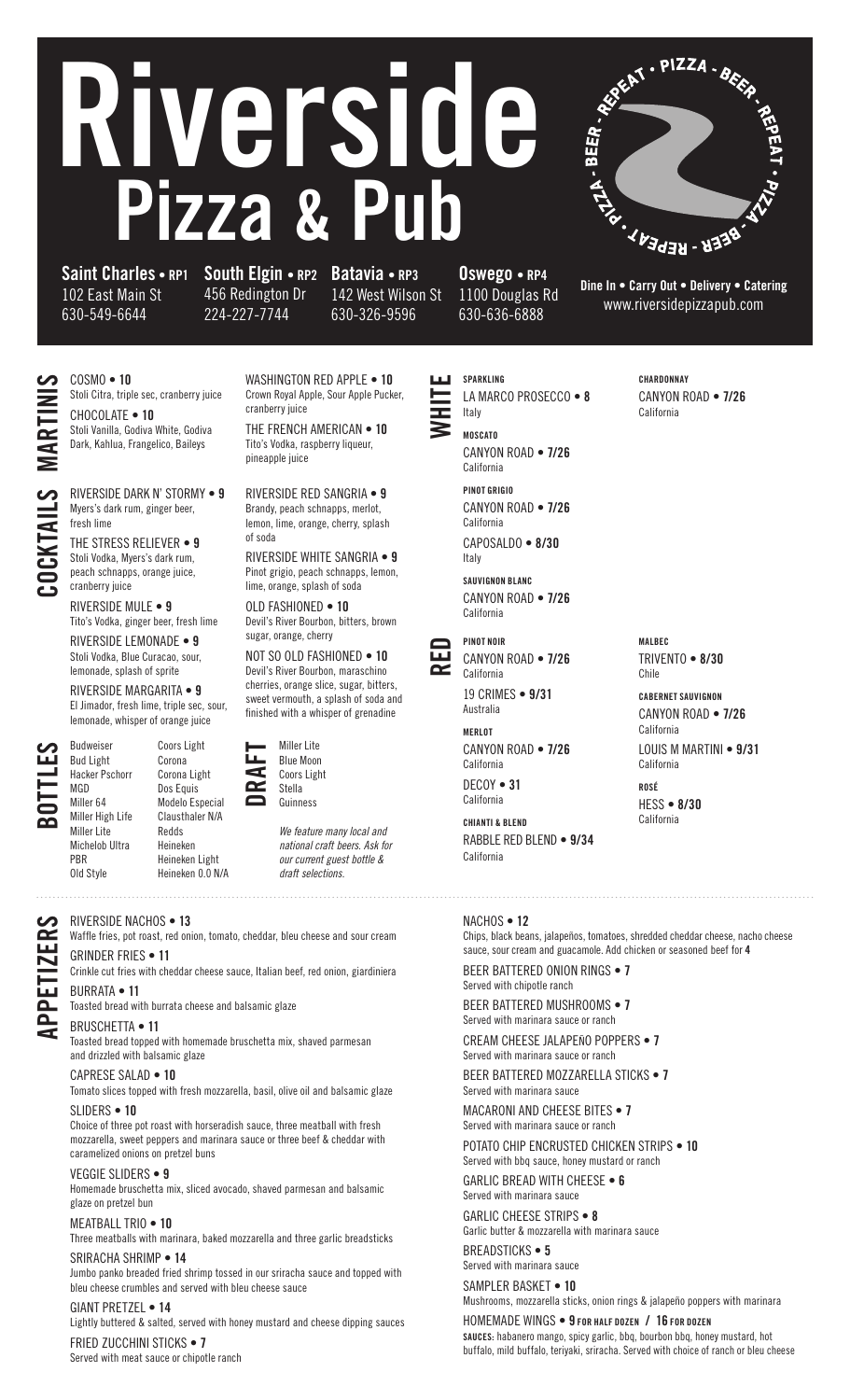# Riverside Pizza & P



Saint Charles • RP1 South Elgin • RP2 Batavia • RP3 102 East Main St 630-549-6644

456 Redington Dr 224-227-7744

cranberry juice

142 West Wilson St 630-326-9596

Oswego • RP4 1100 Douglas Rd 630-636-6888

Dine In • Carry Out • Delivery • Catering www.riversidepizzapub.com

COSMO • 10 Stoli Citra, triple sec, cranberry juice CHOCOLATE • 10 Stoli Vanilla, Godiva White, Godiva Dark, Kahlua, Frangelico, Baileys

RIVERSIDE DARK N' STORMY • 9 Myers's dark rum, ginger beer, fresh lime

THE STRESS RELIEVER • 9 Stoli Vodka, Myers's dark rum, peach schnapps, orange juice, cranberry juice

RIVERSIDE MULE • 9 Tito's Vodka, ginger beer, fresh lime RIVERSIDE LEMONADE • 9

Stoli Vodka, Blue Curacao, sour, lemonade, splash of sprite

RIVERSIDE MARGARITA • 9 El Jimador, fresh lime, triple sec, sour, lemonade, whisper of orange juice

BOTTLES

PBR

APPETIZERS

 $\boldsymbol{\omega}$  $\tilde{\mathbf{R}}$ 

Budweiser Bud Light Hacker Pschorr MGD Miller 64 Miller High Life Miller Lite Michelob Ultra Old Style



pineapple juice RIVERSIDE RED SANGRIA • 9 Brandy, peach schnapps, merlot, lemon, lime, orange, cherry, splash

WASHINGTON RED APPLE . 10 Crown Royal Apple, Sour Apple Pucker,

THE FRENCH AMERICAN • 10 Tito's Vodka, raspberry liqueur,

of soda RIVERSIDE WHITE SANGRIA • 9 Pinot grigio, peach schnapps, lemon, lime, orange, splash of soda

OLD FASHIONED • 10 Devil's River Bourbon, bitters, brown sugar, orange, cherry

NOT SO OLD FASHIONED  $\bullet$  10 Devil's River Bourbon, maraschino cherries, orange slice, sugar, bitters, sweet vermouth, a splash of soda and finished with a whisper of grenadine



Coors Light

*We feature many local and national craft beers. Ask for our current guest bottle & draft selections.*

### RIVERSIDE NACHOS • 13

Waffle fries, pot roast, red onion, tomato, cheddar, bleu cheese and sour cream GRINDER FRIES • 11

Crinkle cut fries with cheddar cheese sauce, Italian beef, red onion, giardiniera BURRATA • 11

Toasted bread with burrata cheese and balsamic glaze

Heineken Heineken Light Heineken 0.0 N/A

#### BRUSCHETTA • 11

Toasted bread topped with homemade bruschetta mix, shaved parmesan and drizzled with balsamic glaze

#### CAPRESE SALAD • 10

Tomato slices topped with fresh mozzarella, basil, olive oil and balsamic glaze SLIDERS • 10

Choice of three pot roast with horseradish sauce, three meatball with fresh mozzarella, sweet peppers and marinara sauce or three beef & cheddar with caramelized onions on pretzel buns

#### VEGGIE SLIDERS • 9

Homemade bruschetta mix, sliced avocado, shaved parmesan and balsamic glaze on pretzel bun

#### MEATBALL TRIO • 10

Three meatballs with marinara, baked mozzarella and three garlic breadsticks

#### SRIRACHA SHRIMP • 14

Jumbo panko breaded fried shrimp tossed in our sriracha sauce and topped with bleu cheese crumbles and served with bleu cheese sauce

#### GIANT PRETZEL • 14

Lightly buttered & salted, served with honey mustard and cheese dipping sauces FRIED ZUCCHINI STICKS . 7

Served with meat sauce or chipotle ranch

WHITE SPARKLING LA MARCO PROSECCO · 8

Italy MOSCATO CANYON ROAD • 7/26 California PINOT GRIGIO

CANYON ROAD • 7/26 California CAPOSALDO • 8/30 Italy

SAUVIGNON BLANC CANYON ROAD • 7/26 California



CANYON ROAD • 7/26 California 19 CRIMES • 9/31 Australia

MERLOT CANYON ROAD • 7/26 California DECOY • 31 California

CHIANTI & BLEND RABBLE RED BLEND • 9/34 California

#### **CHARDONNAY** CANYON ROAD • 7/26 California

MALBEC TRIVENTO • 8/30 Chile

CABERNET SAUVIGNON CANYON ROAD • 7/26 California

LOUIS M MARTINI • 9/31 California

ROSÉ HESS • 8/30 California

#### NACHOS • 12

Chips, black beans, jalapeños, tomatoes, shredded cheddar cheese, nacho cheese sauce, sour cream and guacamole. Add chicken or seasoned beef for 4

BEER BATTERED ONION RINGS • 7 Served with chipotle ranch

BEER BATTERED MUSHROOMS • 7 Served with marinara sauce or ranch

CREAM CHEESE JALAPEÑO POPPERS • 7 Served with marinara sauce or ranch

BEER BATTERED MOZZARELLA STICKS • 7 Served with marinara sauce

MACARONI AND CHEESE BITES . 7 Served with marinara sauce or ranch

POTATO CHIP ENCRUSTED CHICKEN STRIPS . 10 Served with bbq sauce, honey mustard or ranch GARLIC BREAD WITH CHEESE . 6

Served with marinara sauce

GARLIC CHEESE STRIPS • 8 Garlic butter & mozzarella with marinara sauce BREADSTICKS • 5

Served with marinara sauce

SAMPLER BASKET • 10 Mushrooms, mozzarella sticks, onion rings & jalapeño poppers with marinara

HOMEMADE WINGS • 9 FOR HALF DOZEN / 16 FOR DOZEN SAUCES: habanero mango, spicy garlic, bbq, bourbon bbq, honey mustard, hot buffalo, mild buffalo, teriyaki, sriracha. Served with choice of ranch or bleu cheese

# RTINIS COCKTAILS

# Coors Light Corona Corona Light Dos Equis Modelo Especial Clausthaler N/A Redds